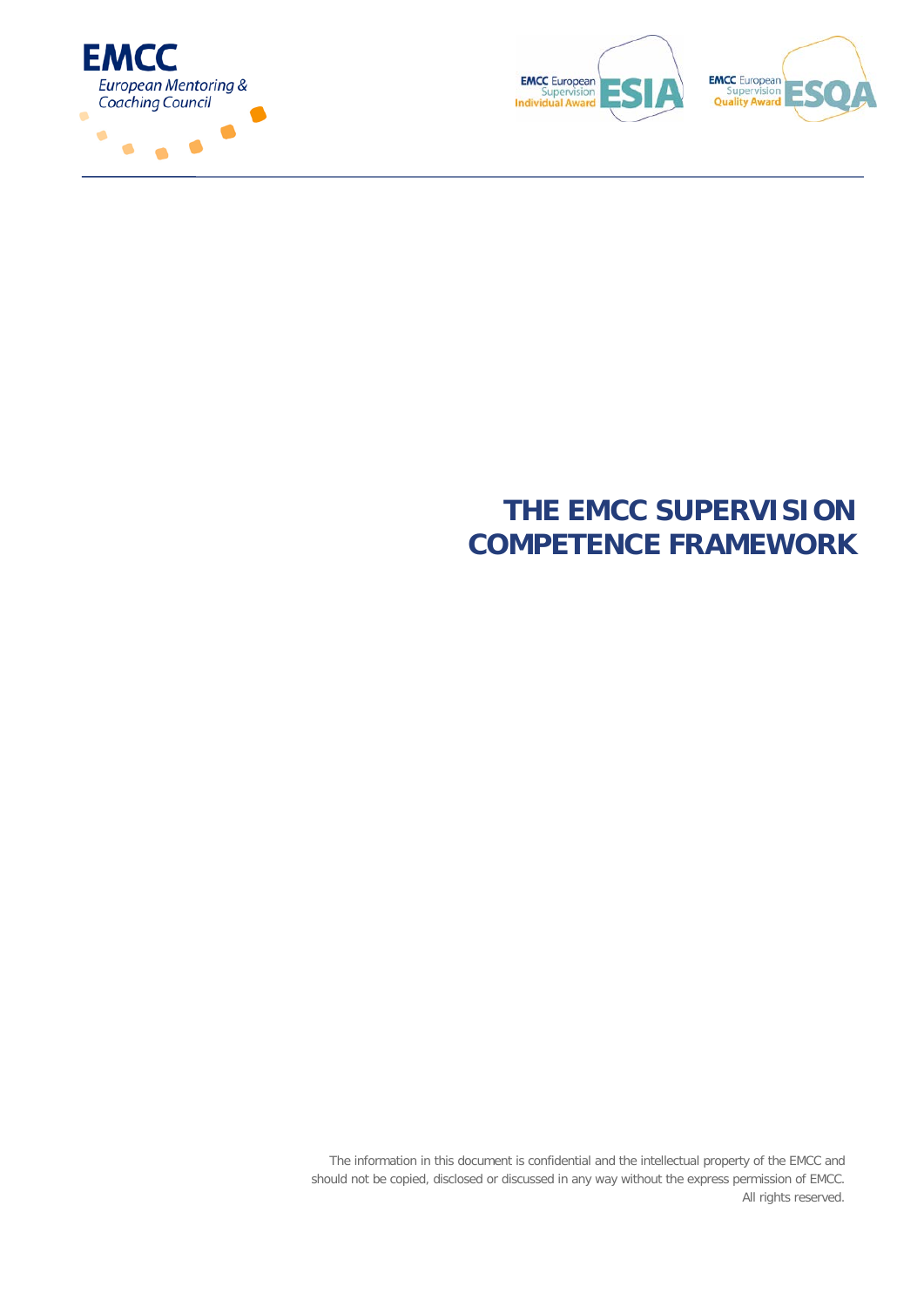



# **THE EMCC SUPERVISION COMPETENCE FRAMEWORK**

The information in this document is confidential and the intellectual property of the EMCC and should not be copied, disclosed or discussed in any way without the express permission of EMCC. All rights reserved.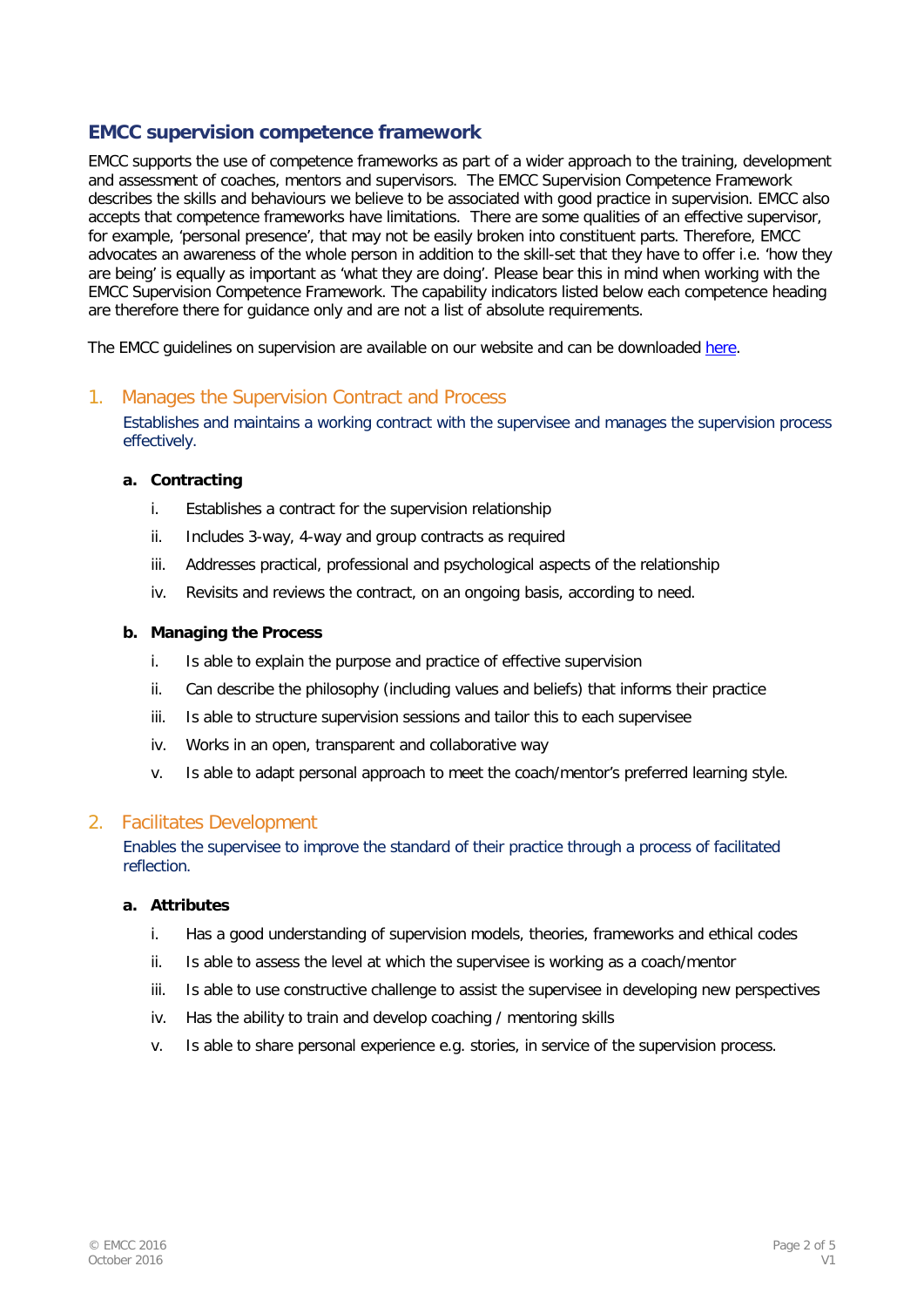# **EMCC supervision competence framework**

EMCC supports the use of competence frameworks as part of a wider approach to the training, development and assessment of coaches, mentors and supervisors. The EMCC Supervision Competence Framework describes the skills and behaviours we believe to be associated with good practice in supervision. EMCC also accepts that competence frameworks have limitations. There are some qualities of an effective supervisor, for example, 'personal presence', that may not be easily broken into constituent parts. Therefore, EMCC advocates an awareness of the whole person in addition to the skill-set that they have to offer i.e. 'how they are being' is equally as important as 'what they are doing'. Please bear this in mind when working with the EMCC Supervision Competence Framework. The capability indicators listed below each competence heading are therefore there for guidance only and are not a list of absolute requirements.

The EMCC guidelines on supervision are available on our website and can be downloaded [here.](https://emcc1.box.com/s/d4ydyhryok7usj2zp06dgcdiuho22lx6)

# 1. Manages the Supervision Contract and Process

Establishes and maintains a working contract with the supervisee and manages the supervision process effectively.

#### **a. Contracting**

- i. Establishes a contract for the supervision relationship
- ii. Includes 3-way, 4-way and group contracts as required
- iii. Addresses practical, professional and psychological aspects of the relationship
- iv. Revisits and reviews the contract, on an ongoing basis, according to need.

#### **b. Managing the Process**

- i. Is able to explain the purpose and practice of effective supervision
- ii. Can describe the philosophy (including values and beliefs) that informs their practice
- iii. Is able to structure supervision sessions and tailor this to each supervisee
- iv. Works in an open, transparent and collaborative way
- v. Is able to adapt personal approach to meet the coach/mentor's preferred learning style.

#### 2. Facilitates Development

Enables the supervisee to improve the standard of their practice through a process of facilitated reflection.

#### **a. Attributes**

- i. Has a good understanding of supervision models, theories, frameworks and ethical codes
- ii. Is able to assess the level at which the supervisee is working as a coach/mentor
- iii. Is able to use constructive challenge to assist the supervisee in developing new perspectives
- iv. Has the ability to train and develop coaching / mentoring skills
- v. Is able to share personal experience e.g. stories, in service of the supervision process.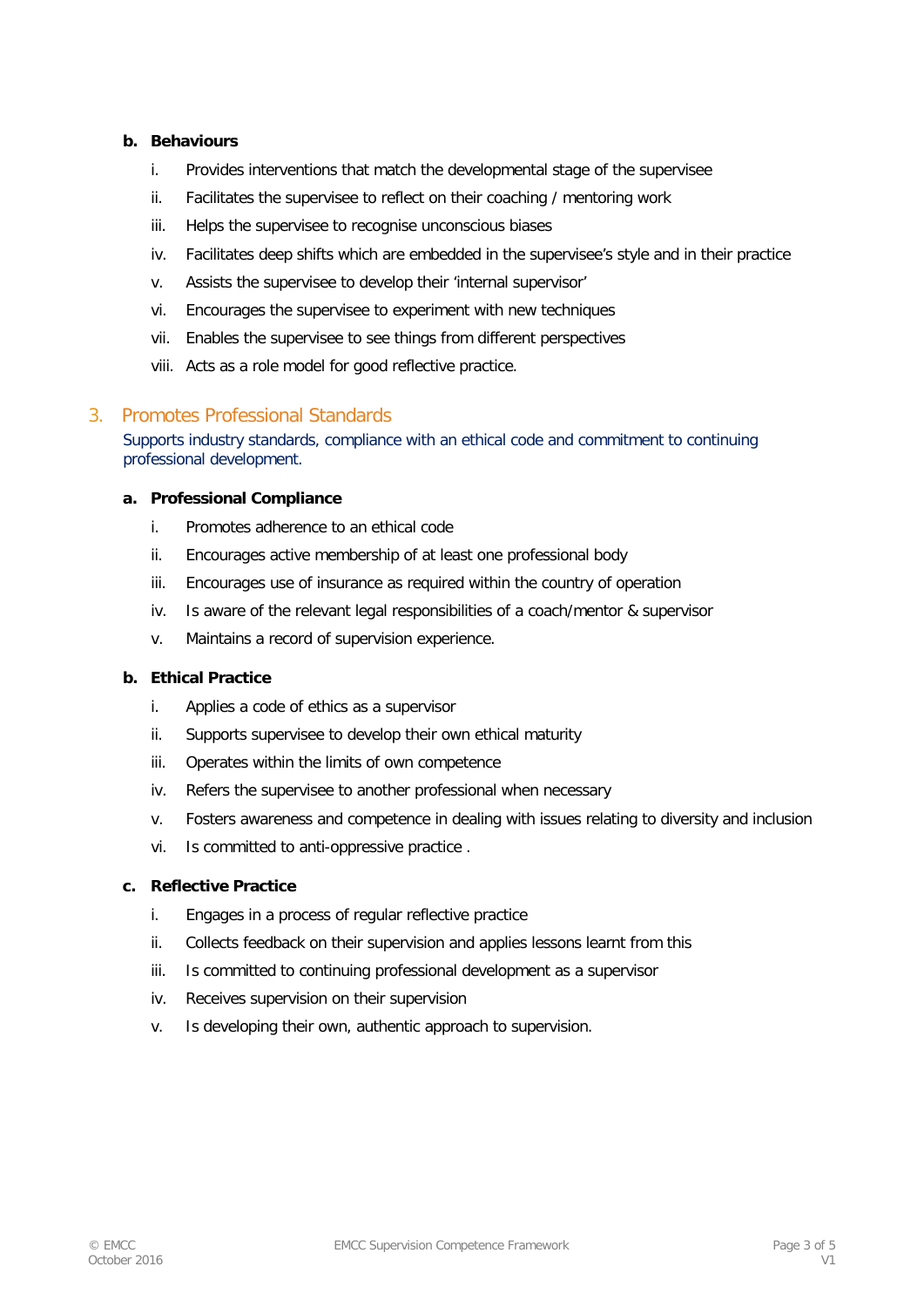## **b. Behaviours**

- i. Provides interventions that match the developmental stage of the supervisee
- ii. Facilitates the supervisee to reflect on their coaching / mentoring work
- iii. Helps the supervisee to recognise unconscious biases
- iv. Facilitates deep shifts which are embedded in the supervisee's style and in their practice
- v. Assists the supervisee to develop their 'internal supervisor'
- vi. Encourages the supervisee to experiment with new techniques
- vii. Enables the supervisee to see things from different perspectives
- viii. Acts as a role model for good reflective practice.

# 3. Promotes Professional Standards

Supports industry standards, compliance with an ethical code and commitment to continuing professional development.

## **a. Professional Compliance**

- i. Promotes adherence to an ethical code
- ii. Encourages active membership of at least one professional body
- iii. Encourages use of insurance as required within the country of operation
- iv. Is aware of the relevant legal responsibilities of a coach/mentor & supervisor
- v. Maintains a record of supervision experience.

#### **b. Ethical Practice**

- i. Applies a code of ethics as a supervisor
- ii. Supports supervisee to develop their own ethical maturity
- iii. Operates within the limits of own competence
- iv. Refers the supervisee to another professional when necessary
- v. Fosters awareness and competence in dealing with issues relating to diversity and inclusion
- vi. Is committed to anti-oppressive practice .

## **c. Reflective Practice**

- i. Engages in a process of regular reflective practice
- ii. Collects feedback on their supervision and applies lessons learnt from this
- iii. Is committed to continuing professional development as a supervisor
- iv. Receives supervision on their supervision
- v. Is developing their own, authentic approach to supervision.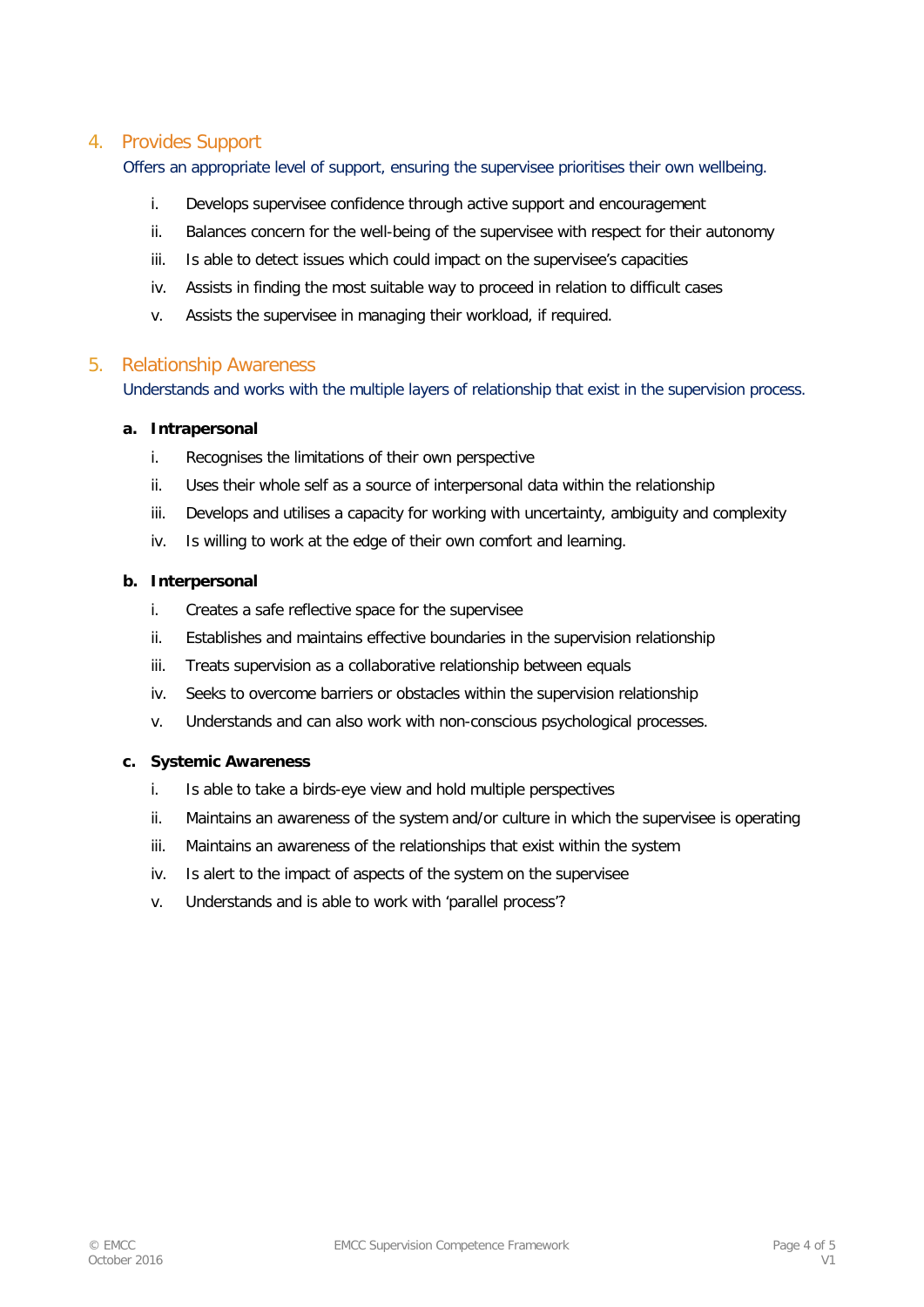# 4. Provides Support

Offers an appropriate level of support, ensuring the supervisee prioritises their own wellbeing.

- i. Develops supervisee confidence through active support and encouragement
- ii. Balances concern for the well-being of the supervisee with respect for their autonomy
- iii. Is able to detect issues which could impact on the supervisee's capacities
- iv. Assists in finding the most suitable way to proceed in relation to difficult cases
- v. Assists the supervisee in managing their workload, if required.

# 5. Relationship Awareness

Understands and works with the multiple layers of relationship that exist in the supervision process.

#### **a. Intrapersonal**

- i. Recognises the limitations of their own perspective
- ii. Uses their whole self as a source of interpersonal data within the relationship
- iii. Develops and utilises a capacity for working with uncertainty, ambiguity and complexity
- iv. Is willing to work at the edge of their own comfort and learning.

## **b. Interpersonal**

- i. Creates a safe reflective space for the supervisee
- ii. Establishes and maintains effective boundaries in the supervision relationship
- iii. Treats supervision as a collaborative relationship between equals
- iv. Seeks to overcome barriers or obstacles within the supervision relationship
- v. Understands and can also work with non-conscious psychological processes.

#### **c. Systemic Awareness**

- i. Is able to take a birds-eye view and hold multiple perspectives
- ii. Maintains an awareness of the system and/or culture in which the supervisee is operating
- iii. Maintains an awareness of the relationships that exist within the system
- iv. Is alert to the impact of aspects of the system on the supervisee
- v. Understands and is able to work with 'parallel process'?